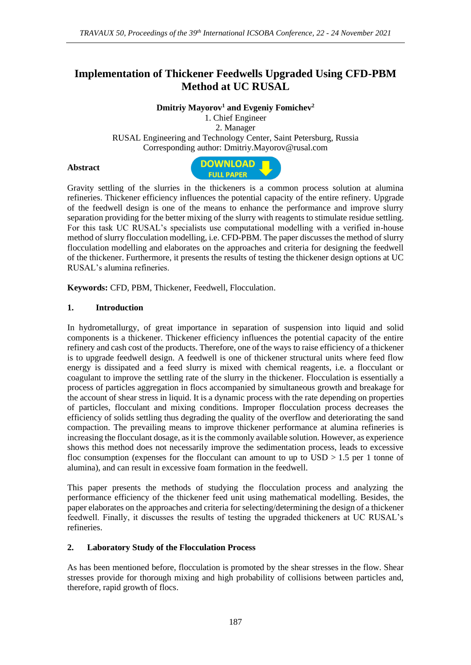# **Implementation of Thickener Feedwells Upgraded Using CFD-PBM Method at UC RUSAL**

**Dmitriy Mayorov<sup>1</sup> and Evgeniy Fomichev<sup>2</sup>**

1. Chief Engineer 2. Manager RUSAL Engineering and Technology Center, Saint Petersburg, Russia Corresponding author: [Dmitriy.Mayorov@rusal.com](mailto:Dmitriy.Mayorov@rusal.com)

## **Abstract**



Gravity settling of the slurries in the thickeners is a common process solution at alumina refineries. Thickener efficiency influences the potential capacity of the entire refinery. Upgrade of the feedwell design is one of the means to enhance the performance and improve slurry separation providing for the better mixing of the slurry with reagents to stimulate residue settling. For this task UC RUSAL's specialists use computational modelling with a verified in-house method of slurry flocculation modelling, i.e. CFD-PBM. The paper discusses the method of slurry flocculation modelling and elaborates on the approaches and criteria for designing the feedwell of the thickener. Furthermore, it presents the results of testing the thickener design options at UC RUSAL's alumina refineries.

**Keywords:** CFD, PBM, Thickener, Feedwell, Flocculation.

## **1. Introduction**

In hydrometallurgy, of great importance in separation of suspension into liquid and solid components is a thickener. Thickener efficiency influences the potential capacity of the entire refinery and cash cost of the products. Therefore, one of the ways to raise efficiency of a thickener is to upgrade feedwell design. A feedwell is one of thickener structural units where feed flow energy is dissipated and a feed slurry is mixed with chemical reagents, i.e. a flocculant or coagulant to improve the settling rate of the slurry in the thickener. Flocculation is essentially a process of particles aggregation in flocs accompanied by simultaneous growth and breakage for the account of shear stress in liquid. It is a dynamic process with the rate depending on properties of particles, flocculant and mixing conditions. Improper flocculation process decreases the efficiency of solids settling thus degrading the quality of the overflow and deteriorating the sand compaction. The prevailing means to improve thickener performance at alumina refineries is increasing the flocculant dosage, as it is the commonly available solution. However, as experience shows this method does not necessarily improve the sedimentation process, leads to excessive floc consumption (expenses for the flocculant can amount to up to  $USD > 1.5$  per 1 tonne of alumina), and can result in excessive foam formation in the feedwell.

This paper presents the methods of studying the flocculation process and analyzing the performance efficiency of the thickener feed unit using mathematical modelling. Besides, the paper elaborates on the approaches and criteria for selecting/determining the design of a thickener feedwell. Finally, it discusses the results of testing the upgraded thickeners at UC RUSAL's refineries.

## **2. Laboratory Study of the Flocculation Process**

As has been mentioned before, flocculation is promoted by the shear stresses in the flow. Shear stresses provide for thorough mixing and high probability of collisions between particles and, therefore, rapid growth of flocs.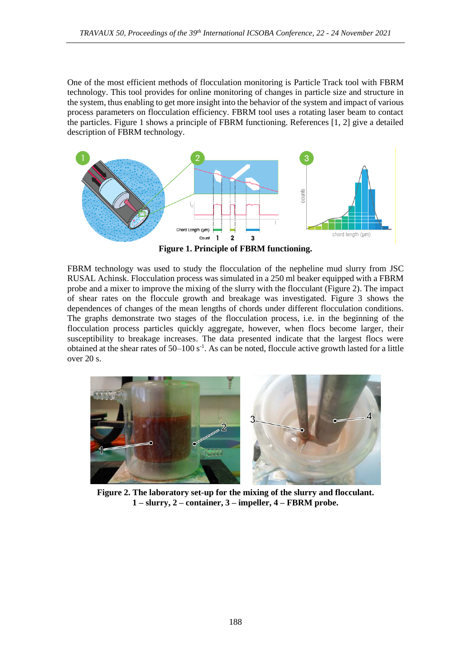One of the most efficient methods of flocculation monitoring is Particle Track tool with FBRM technology. This tool provides for online monitoring of changes in particle size and structure in the system, thus enabling to get more insight into the behavior of the system and impact of various process parameters on flocculation efficiency. FBRM tool uses a rotating laser beam to contact the particles. Figure 1 shows a principle of FBRM functioning. References [1, 2] give a detailed description of FBRM technology.



**Figure 1. Principle of FBRM functioning.**

FBRM technology was used to study the flocculation of the nepheline mud slurry from JSC RUSAL Achinsk. Flocculation process was simulated in a 250 ml beaker equipped with a FBRM probe and a mixer to improve the mixing of the slurry with the flocculant (Figure 2). The impact of shear rates on the floccule growth and breakage was investigated. Figure 3 shows the dependences of changes of the mean lengths of chords under different flocculation conditions. The graphs demonstrate two stages of the flocculation process, i.e. in the beginning of the flocculation process particles quickly aggregate, however, when flocs become larger, their susceptibility to breakage increases. The data presented indicate that the largest flocs were obtained at the shear rates of  $50-100$  s<sup>-1</sup>. As can be noted, floccule active growth lasted for a little over 20 s.



**Figure 2. The laboratory set-up for the mixing of the slurry and flocculant. 1 – slurry, 2 – container, 3 – impeller, 4 – FBRM probe.**